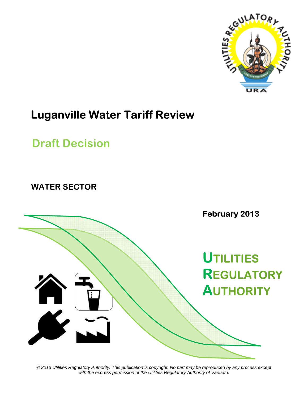

# **Luganville Water Tariff Review**

# **Draft Decision**

**WATER SECTOR** 



*© 2013 Utilities Regulatory Authority. This publication is copyright. No part may be reproduced by any process except with the express permission of the Utilities Regulatory Authority of Vanuatu.*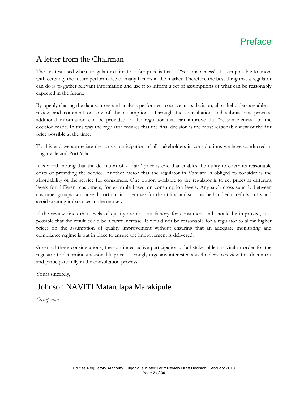# Preface

# A letter from the Chairman

The key test used when a regulator estimates a fair price is that of "reasonableness". It is impossible to know with certainty the future performance of many factors in the market. Therefore the best thing that a regulator can do is to gather relevant information and use it to inform a set of assumptions of what can be reasonably expected in the future.

By openly sharing the data sources and analysis performed to arrive at its decision, all stakeholders are able to review and comment on any of the assumptions. Through the consultation and submissions process, additional information can be provided to the regulator that can improve the "reasonableness" of the decision made. In this way the regulator ensures that the final decision is the most reasonable view of the fair price possible at the time.

To this end we appreciate the active participation of all stakeholders in consultations we have conducted in Luganville and Port Vila.

It is worth noting that the definition of a "fair" price is one that enables the utility to cover its reasonable costs of providing the service. Another factor that the regulator in Vanuatu is obliged to consider is the affordability of the service for consumers. One option available to the regulator is to set prices at different levels for different customers, for example based on consumption levels. Any such cross-subsidy between customer groups can cause distortions in incentives for the utility, and so must be handled carefully to try and avoid creating imbalances in the market.

If the review finds that levels of quality are not satisfactory for consumers and should be improved, it is possible that the result could be a tariff increase. It would not be reasonable for a regulator to allow higher prices on the assumption of quality improvement without ensuring that an adequate monitoring and compliance regime is put in place to ensure the improvement is delivered.

Given all these considerations, the continued active participation of all stakeholders is vital in order for the regulator to determine a reasonable price. I strongly urge any interested stakeholders to review this document and participate fully in the consultation process.

Yours sincerely,

# Johnson NAVITI Matarulapa Marakipule

*Chairperson*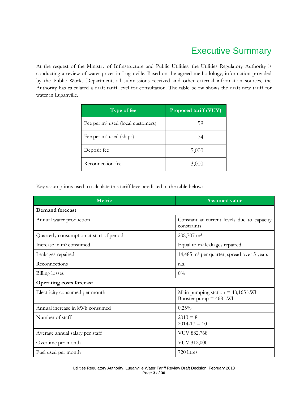# Executive Summary

At the request of the Ministry of Infrastructure and Public Utilities, the Utilities Regulatory Authority is conducting a review of water prices in Luganville. Based on the agreed methodology, information provided by the Public Works Department, all submissions received and other external information sources, the Authority has calculated a draft tariff level for consultation. The table below shows the draft new tariff for water in Luganville.

| Type of fee                         | Proposed tariff (VUV) |
|-------------------------------------|-----------------------|
| Fee per $m3$ used (local customers) | 59                    |
| Fee per $m^3$ used (ships)          | 74                    |
| Deposit fee                         | 5,000                 |
| Reconnection fee                    | 3,000                 |

Key assumptions used to calculate this tariff level are listed in the table below:

| Metric                                   | <b>Assumed value</b>                                            |  |  |  |
|------------------------------------------|-----------------------------------------------------------------|--|--|--|
| Demand forecast                          |                                                                 |  |  |  |
| Annual water production                  | Constant at current levels due to capacity<br>constraints       |  |  |  |
| Quarterly consumption at start of period | 208,707 m <sup>3</sup>                                          |  |  |  |
| Increase in m <sup>3</sup> consumed      | Equal to $m3$ leakages repaired                                 |  |  |  |
| Leakages repaired                        | 14,485 m <sup>3</sup> per quarter, spread over 5 years          |  |  |  |
| Reconnections                            | n.a.                                                            |  |  |  |
| <b>Billing</b> losses                    | $0\%$                                                           |  |  |  |
| <b>Operating costs forecast</b>          |                                                                 |  |  |  |
| Electricity consumed per month           | Main pumping station $= 48,165$ kWh<br>Booster pump $=$ 468 kWh |  |  |  |
| Annual increase in kWh consumed          | $0.25\%$                                                        |  |  |  |
| Number of staff                          | $2013 = 8$<br>$2014 - 17 = 10$                                  |  |  |  |
| Average annual salary per staff          | <b>VUV 882,768</b>                                              |  |  |  |
| Overtime per month                       | <b>VUV 312,000</b>                                              |  |  |  |
| Fuel used per month                      | 720 litres                                                      |  |  |  |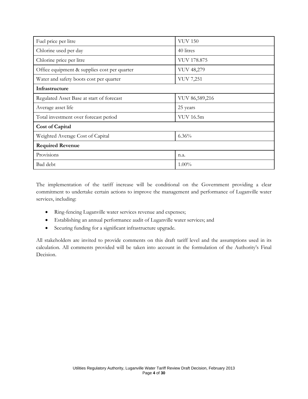| Fuel price per litre                         | <b>VUV 150</b>    |  |
|----------------------------------------------|-------------------|--|
| Chlorine used per day                        | 40 litres         |  |
| Chlorine price per litre                     | VUV 178.875       |  |
| Office equipment & supplies cost per quarter | <b>VUV 48,279</b> |  |
| Water and safety boots cost per quarter      | <b>VUV 7,251</b>  |  |
| Infrastructure                               |                   |  |
| Regulated Asset Base at start of forecast    | VUV 86,589,216    |  |
| Average asset life                           | 25 years          |  |
| Total investment over forecast period        | <b>VUV 16.5m</b>  |  |
| <b>Cost of Capital</b>                       |                   |  |
| Weighted Average Cost of Capital             | 6.36%             |  |
| <b>Required Revenue</b>                      |                   |  |
| Provisions                                   | n.a.              |  |
| Bad debt                                     | $1.00\%$          |  |

The implementation of the tariff increase will be conditional on the Government providing a clear commitment to undertake certain actions to improve the management and performance of Luganville water services, including:

- Ring-fencing Luganville water services revenue and expenses;
- Establishing an annual performance audit of Luganville water services; and
- Securing funding for a significant infrastructure upgrade.

All stakeholders are invited to provide comments on this draft tariff level and the assumptions used in its calculation. All comments provided will be taken into account in the formulation of the Authority's Final Decision.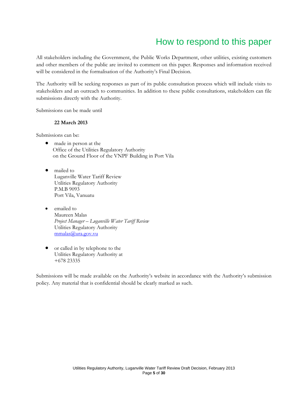# How to respond to this paper

All stakeholders including the Government, the Public Works Department, other utilities, existing customers and other members of the public are invited to comment on this paper. Responses and information received will be considered in the formalisation of the Authority's Final Decision.

The Authority will be seeking responses as part of its public consultation process which will include visits to stakeholders and an outreach to communities. In addition to these public consultations, stakeholders can file submissions directly with the Authority.

Submissions can be made until

#### **22 March 2013**

Submissions can be:

- made in person at the Office of the Utilities Regulatory Authority on the Ground Floor of the VNPF Building in Port Vila
- mailed to Luganville Water Tariff Review Utilities Regulatory Authority P.M.B 9093 Port Vila, Vanuatu
- emailed to Maureen Malas *Project Manager – Luganville Water Tariff Review*  Utilities Regulatory Authority mmalas@ura.gov.vu
- or called in by telephone to the Utilities Regulatory Authority at +678 23335

Submissions will be made available on the Authority's website in accordance with the Authority's submission policy. Any material that is confidential should be clearly marked as such.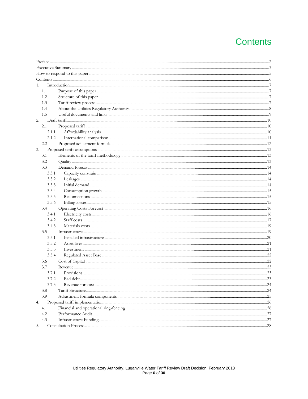# **Contents**

| 1 <sup>1</sup> |  |
|----------------|--|
| 1.1            |  |
| 1.2            |  |
| 1.3            |  |
| 1.4            |  |
| 1.5            |  |
| 2.             |  |
| 2.1            |  |
| 2.1.1          |  |
| 2.1.2          |  |
| 2.2            |  |
| 3.             |  |
| 3.1            |  |
| 3.2            |  |
| 3.3            |  |
| 3.3.1          |  |
| 3.3.2          |  |
| 3.3.3          |  |
| 3.3.4          |  |
| 3.3.5          |  |
| 3.3.6          |  |
| 3.4            |  |
| 3.4.1          |  |
| 3.4.2          |  |
| 3.4.3          |  |
| 3.5            |  |
| 3.5.1          |  |
| 3.5.2          |  |
| 3.5.3          |  |
| 3.5.4          |  |
| 3.6            |  |
| 3.7            |  |
| 3.7.1          |  |
| 3.7.2          |  |
| 3.7.3          |  |
| 3.8            |  |
| 3.9            |  |
| 4.             |  |
| 4.1            |  |
| 4.2            |  |
| 4.3            |  |
| 5.             |  |
|                |  |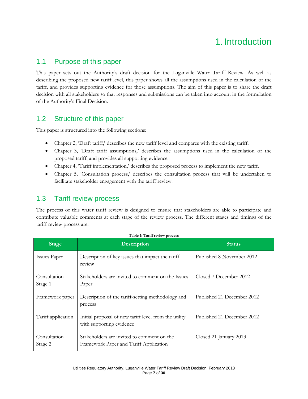# 1. Introduction

## 1.1 Purpose of this paper

This paper sets out the Authority's draft decision for the Luganville Water Tariff Review. As well as describing the proposed new tariff level, this paper shows all the assumptions used in the calculation of the tariff, and provides supporting evidence for those assumptions. The aim of this paper is to share the draft decision with all stakeholders so that responses and submissions can be taken into account in the formulation of the Authority's Final Decision.

## 1.2 Structure of this paper

This paper is structured into the following sections:

- Chapter 2, 'Draft tariff,' describes the new tariff level and compares with the existing tariff.
- Chapter 3, 'Draft tariff assumptions,' describes the assumptions used in the calculation of the proposed tariff, and provides all supporting evidence.
- Chapter 4, 'Tariff implementation,' describes the proposed process to implement the new tariff.
- Chapter 5, 'Consultation process,' describes the consultation process that will be undertaken to facilitate stakeholder engagement with the tariff review.

## 1.3 Tariff review process

The process of this water tariff review is designed to ensure that stakeholders are able to participate and contribute valuable comments at each stage of the review process. The different stages and timings of the tariff review process are:

| <b>Stage</b>            | <b>Description</b>                                                                   | <b>Status</b>              |
|-------------------------|--------------------------------------------------------------------------------------|----------------------------|
| Issues Paper            | Description of key issues that impact the tariff<br>review                           | Published 8 November 2012  |
| Consultation<br>Stage 1 | Stakeholders are invited to comment on the Issues<br>Paper                           | Closed 7 December 2012     |
| Framework paper         | Description of the tariff-setting methodology and<br>process                         | Published 21 December 2012 |
| Tariff application      | Initial proposal of new tariff level from the utility<br>with supporting evidence    | Published 21 December 2012 |
| Consultation<br>Stage 2 | Stakeholders are invited to comment on the<br>Framework Paper and Tariff Application | Closed 21 January 2013     |

**Table 1: Tariff review process**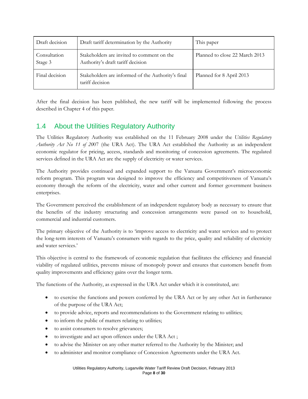| Draft decision          | Draft tariff determination by the Authority                                     | This paper                     |
|-------------------------|---------------------------------------------------------------------------------|--------------------------------|
| Consultation<br>Stage 3 | Stakeholders are invited to comment on the<br>Authority's draft tariff decision | Planned to close 22 March 2013 |
| Final decision          | Stakeholders are informed of the Authority's final<br>tariff decision           | Planned for 8 April 2013       |

After the final decision has been published, the new tariff will be implemented following the process described in Chapter 4 of this paper.

# 1.4 About the Utilities Regulatory Authority

The Utilities Regulatory Authority was established on the 11 February 2008 under the *Utilities Regulatory Authority Act No 11 of 20*07 (the URA Act). The URA Act established the Authority as an independent economic regulator for pricing, access, standards and monitoring of concession agreements. The regulated services defined in the URA Act are the supply of electricity or water services.

The Authority provides continued and expanded support to the Vanuatu Government's microeconomic reform program. This program was designed to improve the efficiency and competitiveness of Vanuatu's economy through the reform of the electricity, water and other current and former government business enterprises.

The Government perceived the establishment of an independent regulatory body as necessary to ensure that the benefits of the industry structuring and concession arrangements were passed on to household, commercial and industrial customers.

The primary objective of the Authority is to 'improve access to electricity and water services and to protect the long-term interests of Vanuatu's consumers with regards to the price, quality and reliability of electricity and water services.'

This objective is central to the framework of economic regulation that facilitates the efficiency and financial viability of regulated utilities, prevents misuse of monopoly power and ensures that customers benefit from quality improvements and efficiency gains over the longer term.

The functions of the Authority, as expressed in the URA Act under which it is constituted, are:

- to exercise the functions and powers conferred by the URA Act or by any other Act in furtherance of the purpose of the URA Act;
- to provide advice, reports and recommendations to the Government relating to utilities;
- to inform the public of matters relating to utilities;
- to assist consumers to resolve grievances;
- to investigate and act upon offences under the URA Act ;
- to advise the Minister on any other matter referred to the Authority by the Minister; and
- to administer and monitor compliance of Concession Agreements under the URA Act.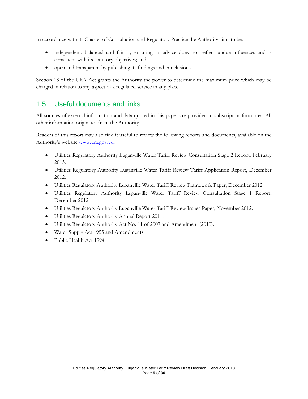In accordance with its Charter of Consultation and Regulatory Practice the Authority aims to be:

- independent, balanced and fair by ensuring its advice does not reflect undue influences and is consistent with its statutory objectives; and
- open and transparent by publishing its findings and conclusions.

Section 18 of the URA Act grants the Authority the power to determine the maximum price which may be charged in relation to any aspect of a regulated service in any place.

# 1.5 Useful documents and links

All sources of external information and data quoted in this paper are provided in subscript or footnotes. All other information originates from the Authority.

Readers of this report may also find it useful to review the following reports and documents, available on the Authority's website www.ura.gov.vu:

- Utilities Regulatory Authority Luganville Water Tariff Review Consultation Stage 2 Report, February 2013.
- Utilities Regulatory Authority Luganville Water Tariff Review Tariff Application Report, December 2012.
- Utilities Regulatory Authority Luganville Water Tariff Review Framework Paper, December 2012.
- Utilities Regulatory Authority Luganville Water Tariff Review Consultation Stage 1 Report, December 2012.
- Utilities Regulatory Authority Luganville Water Tariff Review Issues Paper, November 2012.
- Utilities Regulatory Authority Annual Report 2011.
- Utilities Regulatory Authority Act No. 11 of 2007 and Amendment (2010).
- Water Supply Act 1955 and Amendments.
- Public Health Act 1994.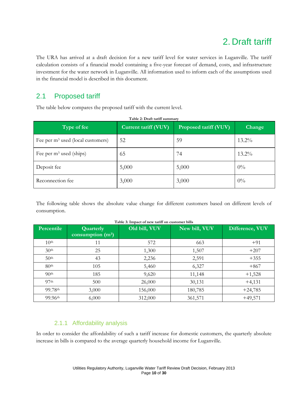# 2. Draft tariff

The URA has arrived at a draft decision for a new tariff level for water services in Luganville. The tariff calculation consists of a financial model containing a five-year forecast of demand, costs, and infrastructure investment for the water network in Luganville. All information used to inform each of the assumptions used in the financial model is described in this document.

# 2.1 Proposed tariff

The table below compares the proposed tariff with the current level.

| Type of fee                          | Current tariff (VUV) | <b>Proposed tariff (VUV)</b> | Change   |
|--------------------------------------|----------------------|------------------------------|----------|
| Fee per $m^3$ used (local customers) | 52                   | 59                           | $13.2\%$ |
| Fee per $m^3$ used (ships)           | 65                   | 74                           | $13.2\%$ |
| Deposit fee                          | 5,000                | 5,000                        | $0\%$    |
| Reconnection fee                     | 3,000                | 3,000                        | $0\%$    |

The following table shows the absolute value change for different customers based on different levels of consumption.

| Percentile       | Quarterly           | Old bill, VUV | New bill, VUV | Difference, VUV |
|------------------|---------------------|---------------|---------------|-----------------|
|                  | consumption $(m^3)$ |               |               |                 |
| 10 <sup>th</sup> | 11                  | 572           | 663           | $+91$           |
| 30 <sup>th</sup> | 25                  | 1,300         | 1,507         | $+207$          |
| 50 <sup>th</sup> | 43                  | 2,236         | 2,591         | $+355$          |
| 80 <sup>th</sup> | 105                 | 5,460         | 6,327         | $+867$          |
| $9()$ th         | 185                 | 9,620         | 11,148        | $+1,528$        |
| 97 <sup>th</sup> | 500                 | 26,000        | 30,131        | $+4,131$        |
| 99.78th          | 3,000               | 156,000       | 180,785       | $+24,785$       |
| 99.96th          | 6,000               | 312,000       | 361,571       | $+49,571$       |

#### **Table 3: Impact of new tariff on customer bills**

## 2.1.1 Affordability analysis

In order to consider the affordability of such a tariff increase for domestic customers, the quarterly absolute increase in bills is compared to the average quarterly household income for Luganville.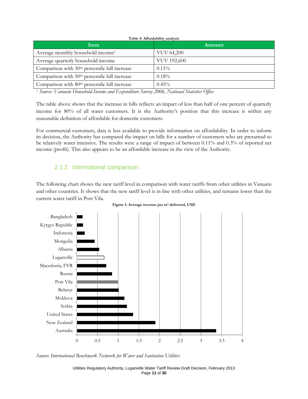| Table 4: Affordability analysis                           |             |  |  |  |
|-----------------------------------------------------------|-------------|--|--|--|
| Item                                                      | Amount      |  |  |  |
| Average monthly household income <sup>1</sup>             | VUV 64,200  |  |  |  |
| Average quarterly household income                        | VUV 192,600 |  |  |  |
| Comparison with $30th$ percentile bill increase           | $0.11\%$    |  |  |  |
| Comparison with 50 <sup>th</sup> percentile bill increase | 0.18%       |  |  |  |
| Comparison with 80 <sup>th</sup> percentile bill increase | 0.45%       |  |  |  |

*1 Source: Vanuatu Household Income and Expenditure Survey 2006, National Statistics Office*

The table above shows that the increase in bills reflects an impact of less than half of one percent of quarterly income for 80% of all water customers. It is the Authority's position that this increase is within any reasonable definition of affordable for domestic customers.

For commercial customers, data is less available to provide information on affordability. In order to inform its decision, the Authority has compared the impact on bills for a number of customers who are presumed to be relatively water intensive. The results were a range of impact of between 0.11% and 0.3% of reported net income (profit). This also appears to be an affordable increase in the view of the Authority.

## 2.1.2 International comparison

The following chart shows the new tariff level in comparison with water tariffs from other utilities in Vanuatu and other countries. It shows that the new tariff level is in line with other utilities, and remains lower than the current water tariff in Port Vila.



#### **Figure 1: Average revenue per m3 delivered, USD**

*Source: International Benchmark Network for Water and Sanitation Utilities* 

Utilities Regulatory Authority, Luganville Water Tariff Review Draft Decision, February 2013 Page **11** of **30**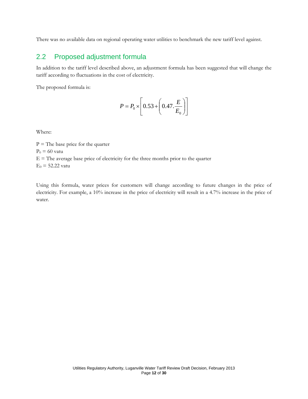There was no available data on regional operating water utilities to benchmark the new tariff level against.

# 2.2 Proposed adjustment formula

In addition to the tariff level described above, an adjustment formula has been suggested that will change the tariff according to fluctuations in the cost of electricity.

The proposed formula is:

$$
P = P_0 \times \left[ 0.53 + \left( 0.47 \cdot \frac{E}{E_0} \right) \right]
$$

Where:

 $P =$  The base price for the quarter  $P_0 = 60$  vatu  $E =$  The average base price of electricity for the three months prior to the quarter  $E_0 = 52.22$  vatu

Using this formula, water prices for customers will change according to future changes in the price of electricity. For example, a 10% increase in the price of electricity will result in a 4.7% increase in the price of water.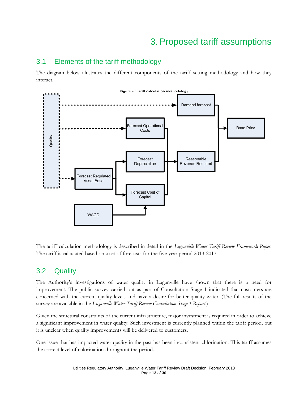# 3. Proposed tariff assumptions

# 3.1 Elements of the tariff methodology

The diagram below illustrates the different components of the tariff setting methodology and how they interact.



The tariff calculation methodology is described in detail in the *Luganville Water Tariff Review Framework Paper*. The tariff is calculated based on a set of forecasts for the five-year period 2013-2017.

## 3.2 Quality

The Authority's investigations of water quality in Luganville have shown that there is a need for improvement. The public survey carried out as part of Consultation Stage 1 indicated that customers are concerned with the current quality levels and have a desire for better quality water. (The full results of the survey are available in the *Luganville Water Tariff Review Consultation Stage 1 Report*.)

Given the structural constraints of the current infrastructure, major investment is required in order to achieve a significant improvement in water quality. Such investment is currently planned within the tariff period, but it is unclear when quality improvements will be delivered to customers.

One issue that has impacted water quality in the past has been inconsistent chlorination. This tariff assumes the correct level of chlorination throughout the period.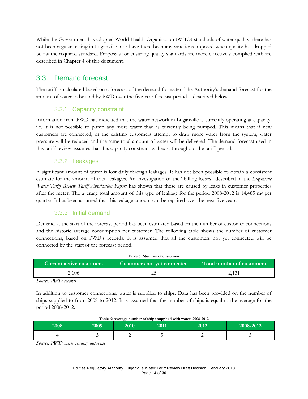While the Government has adopted World Health Organisation (WHO) standards of water quality, there has not been regular testing in Luganville, nor have there been any sanctions imposed when quality has dropped below the required standard. Proposals for ensuring quality standards are more effectively complied with are described in Chapter 4 of this document.

# 3.3 Demand forecast

The tariff is calculated based on a forecast of the demand for water. The Authority's demand forecast for the amount of water to be sold by PWD over the five-year forecast period is described below.

## 3.3.1 Capacity constraint

Information from PWD has indicated that the water network in Luganville is currently operating at capacity, i.e. it is not possible to pump any more water than is currently being pumped. This means that if new customers are connected, or the existing customers attempt to draw more water from the system, water pressure will be reduced and the same total amount of water will be delivered. The demand forecast used in this tariff review assumes that this capacity constraint will exist throughout the tariff period.

## 3.3.2 Leakages

A significant amount of water is lost daily through leakages. It has not been possible to obtain a consistent estimate for the amount of total leakages. An investigation of the "billing losses" described in the *Luganville Water Tariff Review Tariff Application Report* has shown that these are caused by leaks in customer properties after the meter. The average total amount of this type of leakage for the period 2008-2012 is 14,485 m<sup>3</sup> per quarter. It has been assumed that this leakage amount can be repaired over the next five years.

## 3.3.3 Initial demand

Demand at the start of the forecast period has been estimated based on the number of customer connections and the historic average consumption per customer. The following table shows the number of customer connections, based on PWD's records. It is assumed that all the customers not yet connected will be connected by the start of the forecast period.

| Table 5: Number of customers |                           |       |  |  |
|------------------------------|---------------------------|-------|--|--|
| Current active customers     | Total number of customers |       |  |  |
| 2.106                        |                           | 2,131 |  |  |

*Source: PWD records* 

In addition to customer connections, water is supplied to ships. Data has been provided on the number of ships supplied to from 2008 to 2012. It is assumed that the number of ships is equal to the average for the period 2008-2012.

| 2008 | 2009 | 2010 | 2011 | 2012 | 2008-2012 |
|------|------|------|------|------|-----------|
|      |      |      |      |      |           |

#### **Table 6: Average number of ships supplied with water, 2008-2012**

*Source: PWD meter reading database*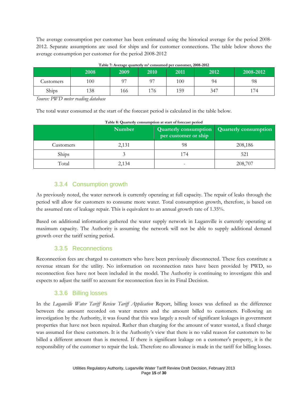The average consumption per customer has been estimated using the historical average for the period 2008- 2012. Separate assumptions are used for ships and for customer connections. The table below shows the average consumption per customer for the period 2008-2012

|           | 2008 | 2009 | 2010 | 2011 | 2012 | $ 2008 - 2012 $ |
|-----------|------|------|------|------|------|-----------------|
| Customers | 100  | 07   | ∩∍   | 100  | 94   | 98              |
| Ships     | 138  | 166  | 176  | 159  | 347  | 174             |

**Table 7: Average quarterly m3 consumed per customer, 2008-2012** 

*Source: PWD meter reading database* 

The total water consumed at the start of the forecast period is calculated in the table below.

|                  | <b>Number</b> | per customer or ship | Quarterly consumption Quarterly consumption |
|------------------|---------------|----------------------|---------------------------------------------|
| <b>Customers</b> | 2,131         | 98                   | 208,186                                     |
| Ships            |               | 174                  | 521                                         |
| Total            | 2,134         |                      | 208,707                                     |

#### **Table 8: Quarterly consumption at start of forecast period**

### 3.3.4 Consumption growth

As previously noted, the water network is currently operating at full capacity. The repair of leaks through the period will allow for customers to consume more water. Total consumption growth, therefore, is based on the assumed rate of leakage repair. This is equivalent to an annual growth rate of 1.35%.

Based on additional information gathered the water supply network in Luganville is currently operating at maximum capacity. The Authority is assuming the network will not be able to supply additional demand growth over the tariff setting period.

### 3.3.5 Reconnections

Reconnection fees are charged to customers who have been previously disconnected. These fees constitute a revenue stream for the utility. No information on reconnection rates have been provided by PWD, so reconnection fees have not been included in the model. The Authority is continuing to investigate this and expects to adjust the tariff to account for reconnection fees in its Final Decision.

## 3.3.6 Billing losses

In the *Luganville Water Tariff Review Tariff Application* Report, billing losses was defined as the difference between the amount recorded on water meters and the amount billed to customers. Following an investigation by the Authority, it was found that this was largely a result of significant leakages in government properties that have not been repaired. Rather than charging for the amount of water wasted, a fixed charge was assumed for these customers. It is the Authority's view that there is no valid reason for customers to be billed a different amount than is metered. If there is significant leakage on a customer's property, it is the responsibility of the customer to repair the leak. Therefore no allowance is made in the tariff for billing losses.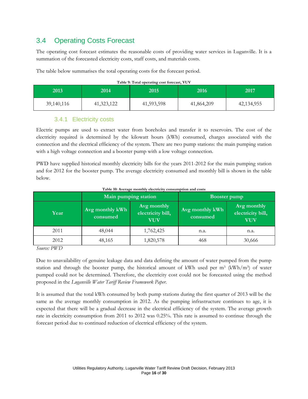# 3.4 Operating Costs Forecast

The operating cost forecast estimates the reasonable costs of providing water services in Luganville. It is a summation of the forecasted electricity costs, staff costs, and materials costs.

The table below summarises the total operating costs for the forecast period.

|  | Table 9: Total operating cost forecast, VUV |  |  |
|--|---------------------------------------------|--|--|
|  |                                             |  |  |

| 2013       | 2014         | 2015       | 2016       | 2017       |
|------------|--------------|------------|------------|------------|
| 39,140,116 | 41, 323, 122 | 41,593,598 | 41,864,209 | 42,134,955 |

### 3.4.1 Electricity costs

Electric pumps are used to extract water from boreholes and transfer it to reservoirs. The cost of the electricity required is determined by the kilowatt hours (kWh) consumed, charges associated with the connection and the electrical efficiency of the system. There are two pump stations: the main pumping station with a high voltage connection and a booster pump with a low voltage connection.

PWD have supplied historical monthly electricity bills for the years 2011-2012 for the main pumping station and for 2012 for the booster pump. The average electricity consumed and monthly bill is shown in the table below.

|      | Main pumping station        |                                                | <b>Booster pump</b>         |                                                |
|------|-----------------------------|------------------------------------------------|-----------------------------|------------------------------------------------|
| Year | Avg monthly kWh<br>consumed | Avg monthly<br>electricity bill,<br><b>VUV</b> | Avg monthly kWh<br>consumed | Avg monthly<br>electricity bill,<br><b>VUV</b> |
| 2011 | 48,044                      | 1,762,425                                      | n.a.                        | n.a.                                           |
| 2012 | 48,165                      | 1,820,578                                      | 468                         | 30,666                                         |

#### **Table 10: Average monthly electricity consumption and costs**

*Source: PWD* 

Due to unavailability of genuine leakage data and data defining the amount of water pumped from the pump station and through the booster pump, the historical amount of kWh used per  $m<sup>3</sup>$  (kWh/m<sup>3</sup>) of water pumped could not be determined. Therefore, the electricity cost could not be forecasted using the method proposed in the *Luganville Water Tariff Review Framework Paper*.

It is assumed that the total kWh consumed by both pump stations during the first quarter of 2013 will be the same as the average monthly consumption in 2012. As the pumping infrastructure continues to age, it is expected that there will be a gradual decrease in the electrical efficiency of the system. The average growth rate in electricity consumption from 2011 to 2012 was 0.25%. This rate is assumed to continue through the forecast period due to continued reduction of electrical efficiency of the system.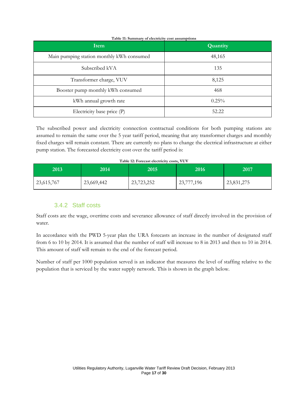| Item                                      | Quantity |
|-------------------------------------------|----------|
| Main pumping station monthly kWh consumed | 48,165   |
| Subscribed kVA                            | 135      |
| Transformer charge, VUV                   | 8,125    |
| Booster pump monthly kWh consumed         | 468      |
| kWh annual growth rate                    | $0.25\%$ |
| Electricity base price (P)                | 52.22    |

#### **Table 11: Summary of electricity cost assumptions**

The subscribed power and electricity connection contractual conditions for both pumping stations are assumed to remain the same over the 5 year tariff period, meaning that any transformer charges and monthly fixed charges will remain constant. There are currently no plans to change the electrical infrastructure at either pump station. The forecasted electricity cost over the tariff period is:

| 2013       | 2014       | 2015       | 2016       | 2017       |
|------------|------------|------------|------------|------------|
| 23,615,767 | 23,669,442 | 23,723,252 | 23,777,196 | 23,831,275 |

#### **Table 12: Forecast electricity costs, VUV**

#### 3.4.2 Staff costs

Staff costs are the wage, overtime costs and severance allowance of staff directly involved in the provision of water.

In accordance with the PWD 5-year plan the URA forecasts an increase in the number of designated staff from 6 to 10 by 2014. It is assumed that the number of staff will increase to 8 in 2013 and then to 10 in 2014. This amount of staff will remain to the end of the forecast period.

Number of staff per 1000 population served is an indicator that measures the level of staffing relative to the population that is serviced by the water supply network. This is shown in the graph below.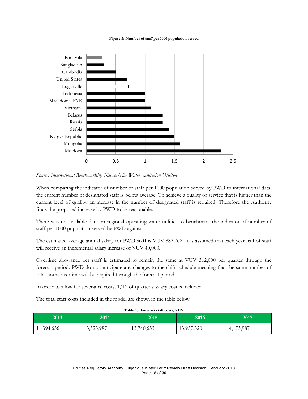#### **Figure 3: Number of staff per 1000 population served**



#### *Source: International Benchmarking Network for Water Sanitation Utilities*

When comparing the indicator of number of staff per 1000 population served by PWD to international data, the current number of designated staff is below average. To achieve a quality of service that is higher than the current level of quality, an increase in the number of designated staff is required. Therefore the Authority finds the proposed increase by PWD to be reasonable.

There was no available data on regional operating water utilities to benchmark the indicator of number of staff per 1000 population served by PWD against.

The estimated average annual salary for PWD staff is VUV 882,768. It is assumed that each year half of staff will receive an incremental salary increase of VUV 40,000.

Overtime allowance per staff is estimated to remain the same at VUV 312,000 per quarter through the forecast period. PWD do not anticipate any changes to the shift schedule meaning that the same number of total hours overtime will be required through the forecast period.

In order to allow for severance costs, 1/12 of quarterly salary cost is included.

The total staff costs included in the model are shown in the table below:

| 2013       | 2014       | 2015       | 2016       | 2017       |
|------------|------------|------------|------------|------------|
| 11,394,656 | 13,523,987 | 13,740,653 | 13,957,320 | 14,173,987 |

#### **Table 13: Forecast staff costs, VUV**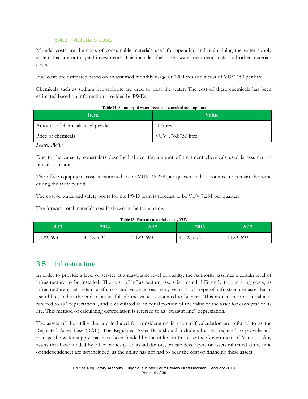### 3.4.3 Materials costs

Material costs are the costs of consumable materials used for operating and maintaining the water supply system that are not capital investments. This includes fuel costs, water treatment costs, and other materials costs.

Fuel costs are estimated based on an assumed monthly usage of 720 litres and a cost of VUV 150 per litre.

Chemicals such as sodium hypochlorite are used to treat the water. The cost of these chemicals has been estimated based on information provided by PWD.

| Item                             | <b>Value</b>       |
|----------------------------------|--------------------|
| Amount of chemicals used per day | 40 litres          |
| Price of chemicals               | VUV 178.875/ litre |

#### **Table 14: Summary of water treatment chemical assumptions**

*Source: PWD* 

Due to the capacity constraints described above, the amount of treatment chemicals used is assumed to remain constant.

The office equipment cost is estimated to be VUV 48,279 per quarter and is assumed to remain the same during the tariff period.

The cost of water and safety boots for the PWD team is forecast to be VUV 7,251 per quarter.

The forecast total materials cost is shown in the table below:

| 2013      | 2014      | 2015      | 2016      | 2017       |
|-----------|-----------|-----------|-----------|------------|
| 4,129,693 | 4,129,693 | 4,129,693 | 4,129,693 | 4,129, 693 |

**Table 15: Forecast materials costs, VUV** 

## 3.5 Infrastructure

In order to provide a level of service at a reasonable level of quality, the Authority assumes a certain level of infrastructure to be installed. The cost of infrastructure assets is treated differently to operating costs, as infrastructure assets retain usefulness and value across many years. Each type of infrastructure asset has a useful life, and at the end of its useful life the value is assumed to be zero. This reduction in asset value is referred to as "depreciation", and is calculated as an equal portion of the value of the asset for each year of its life. This method of calculating depreciation is referred to as "straight line" depreciation.

The assets of the utility that are included for consideration in the tariff calculation are referred to as the Regulated Asset Base (RAB). The Regulated Asset Base should include all assets required to provide and manage the water supply that have been funded by the utility, in this case the Government of Vanuatu. Any assets that have funded by other parties (such as aid donors, private developers or assets inherited at the time of independence) are not included, as the utility has not had to bear the cost of financing these assets.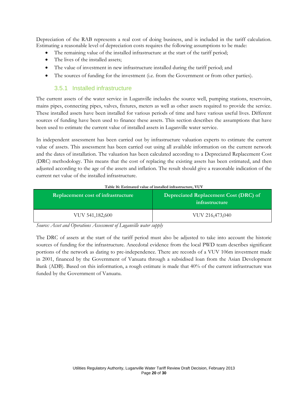Depreciation of the RAB represents a real cost of doing business, and is included in the tariff calculation. Estimating a reasonable level of depreciation costs requires the following assumptions to be made:

- The remaining value of the installed infrastructure at the start of the tariff period;
- The lives of the installed assets;
- The value of investment in new infrastructure installed during the tariff period; and
- The sources of funding for the investment (i.e. from the Government or from other parties).

## 3.5.1 Installed infrastructure

The current assets of the water service in Luganville includes the source well, pumping stations, reservoirs, mains pipes, connecting pipes, valves, fixtures, meters as well as other assets required to provide the service. These installed assets have been installed for various periods of time and have various useful lives. Different sources of funding have been used to finance these assets. This section describes the assumptions that have been used to estimate the current value of installed assets in Luganville water service.

In independent assessment has been carried out by infrastructure valuation experts to estimate the current value of assets. This assessment has been carried out using all available information on the current network and the dates of installation. The valuation has been calculated according to a Depreciated Replacement Cost (DRC) methodology. This means that the cost of replacing the existing assets has been estimated, and then adjusted according to the age of the assets and inflation. The result should give a reasonable indication of the current net value of the installed infrastructure.

| Table 16: Estimated value of installed infrastructure, VUV |  |
|------------------------------------------------------------|--|
|                                                            |  |

| <b>Replacement cost of infrastructure</b> | Depreciated Replacement Cost (DRC) of<br>infrastructure |
|-------------------------------------------|---------------------------------------------------------|
| VUV 541,182,600                           | VUV 216,473,040                                         |

*Source: Asset and Operations Assessment of Luganville water supply* 

The DRC of assets at the start of the tariff period must also be adjusted to take into account the historic sources of funding for the infrastructure. Anecdotal evidence from the local PWD team describes significant portions of the network as dating to pre-independence. There are records of a VUV 106m investment made in 2001, financed by the Government of Vanuatu through a subsidised loan from the Asian Development Bank (ADB). Based on this information, a rough estimate is made that 40% of the current infrastructure was funded by the Government of Vanuatu.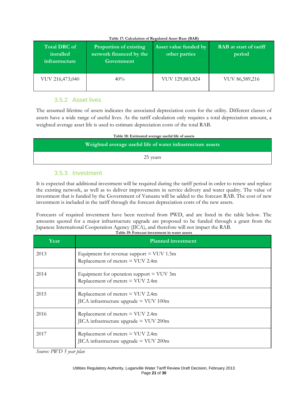| <b>Total DRC of</b><br>installed<br>infrastructure | Proportion of existing<br>network financed by the<br>Government | Asset value funded by<br>other parties | RAB at start of tariff<br>period |
|----------------------------------------------------|-----------------------------------------------------------------|----------------------------------------|----------------------------------|
| VUV 216,473,040                                    | 40%                                                             | VUV 129,883,824                        | VUV 86,589,216                   |

#### **Table 17: Calculation of Regulated Asset Base (RAB)**

## 3.5.2 Asset lives

The assumed lifetime of assets indicates the associated depreciation costs for the utility. Different classes of assets have a wide range of useful lives. As the tariff calculation only requires a total depreciation amount, a weighted average asset life is used to estimate depreciation costs of the total RAB.

|--|

**Weighted average useful life of water infrastructure assets**

25 years

## 3.5.3 Investment

It is expected that additional investment will be required during the tariff period in order to renew and replace the existing network, as well as to deliver improvements in service delivery and water quality. The value of investment that is funded by the Government of Vanuatu will be added to the forecast RAB. The cost of new investment is included in the tariff through the forecast depreciation costs of the new assets.

Forecasts of required investment have been received from PWD, and are listed in the table below. The amounts quoted for a major infrastructure upgrade are proposed to be funded through a grant from the Japanese International Cooperation Agency (JICA), and therefore will not impact the RAB. **Table 19: Forecast investment in water assets** 

| Year | <b>Planned investment</b>                                                        |
|------|----------------------------------------------------------------------------------|
| 2013 | Equipment for revenue support $=$ VUV 1.5m<br>Replacement of meters $=$ VUV 2.4m |
| 2014 | Equipment for operation support $=$ VUV 3m<br>Replacement of meters = VUV 2.4m   |
| 2015 | Replacement of meters = VUV 2.4m<br>JICA infrastructure upgrade = $VUV$ 100m     |
| 2016 | Replacement of meters = VUV 2.4m<br>JICA infrastructure upgrade = $VUV$ 200m     |
| 2017 | Replacement of meters = VUV 2.4m<br>JICA infrastructure upgrade = $VUV$ 200m     |

*Source: PWD 5 year plan*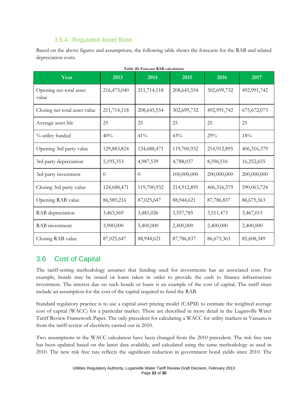## 3.5.4 Regulated Asset Base

Based on the above figures and assumptions, the following table shows the forecasts for the RAB and related depreciation costs.

| Year                             | 2013        | 2014          | 2015          | 2016        | 2017          |
|----------------------------------|-------------|---------------|---------------|-------------|---------------|
| Opening net total asset<br>value | 216,473,040 | 211,714,118   | 208, 645, 554 | 302,699,732 | 492,991,742   |
| Closing net total asset value    | 211,714,118 | 208, 645, 554 | 302,699,732   | 492,991,742 | 675, 672, 073 |
| Average asset life               | 25          | 25            | 25            | 25          | 25            |
| % utility funded                 | 40%         | 41%           | 43%           | 29%         | 18%           |
| Opening 3rd party value          | 129,883,824 | 124,688,471   | 119,700,932   | 214,912,895 | 406,316,379   |
| 3rd party depreciation           | 5,195,353   | 4,987,539     | 4,788,037     | 8,596,516   | 16,252,655    |
| 3rd party investment             | $\Omega$    | $\Omega$      | 100,000,000   | 200,000,000 | 200,000,000   |
| Closing 3rd party value          | 124,688,471 | 119,700,932   | 214,912,895   | 406,316,379 | 590,063,724   |
| Opening RAB value                | 86,589,216  | 87,025,647    | 88,944,621    | 87,786,837  | 86, 675, 363  |
| RAB depreciation                 | 3,463,569   | 3,481,026     | 3,557,785     | 3,511,473   | 3,467,015     |
| RAB investment                   | 3,900,000   | 5,400,000     | 2,400,000     | 2,400,000   | 2,400,000     |
| Closing RAB value                | 87,025,647  | 88,944,621    | 87,786,837    | 86,675,363  | 85,608,349    |

## 3.6 Cost of Capital

The tariff-setting methodology assumes that funding used for investments has an associated cost. For example, bonds may be issued or loans taken in order to provide the cash to finance infrastructure investment. The interest due on such bonds or loans is an example of the cost of capital. The tariff must include an assumption for the cost of the capital required to fund the RAB.

Standard regulatory practice is to use a capital asset pricing model (CAPM) to estimate the weighted average cost of capital (WACC) for a particular market. These are described in more detail in the Luganville Water Tariff Review Framework Paper. The only precedent for calculating a WACC for utility markets in Vanuatu is from the tariff review of electricity carried out in 2010.

Two assumptions in the WACC calculation have been changed from the 2010 precedent. The risk free rate has been updated based on the latest data available, and calculated using the same methodology as used in 2010. The new risk free rate reflects the significant reduction in government bond yields since 2010. The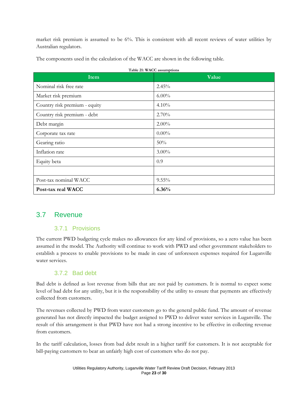market risk premium is assumed to be 6%. This is consistent with all recent reviews of water utilities by Australian regulators.

The components used in the calculation of the WACC are shown in the following table.

| Item                          | Value    |
|-------------------------------|----------|
| Nominal risk free rate        | 2.45%    |
| Market risk premium           | $6.00\%$ |
| Country risk premium - equity | $4.10\%$ |
| Country risk premium - debt   | 2.70%    |
| Debt margin                   | $2.00\%$ |
| Corporate tax rate            | $0.00\%$ |
| Gearing ratio                 | 50%      |
| Inflation rate                | $3.00\%$ |
| Equity beta                   | 0.9      |
|                               |          |
| Post-tax nominal WACC         | $9.55\%$ |
| Post-tax real WACC            | 6.36%    |

## 3.7 Revenue

## 3.7.1 Provisions

The current PWD budgeting cycle makes no allowances for any kind of provisions, so a zero value has been assumed in the model. The Authority will continue to work with PWD and other government stakeholders to establish a process to enable provisions to be made in case of unforeseen expenses required for Luganville water services.

## 3.7.2 Bad debt

Bad debt is defined as lost revenue from bills that are not paid by customers. It is normal to expect some level of bad debt for any utility, but it is the responsibility of the utility to ensure that payments are effectively collected from customers.

The revenues collected by PWD from water customers go to the general public fund. The amount of revenue generated has not directly impacted the budget assigned to PWD to deliver water services in Luganville. The result of this arrangement is that PWD have not had a strong incentive to be effective in collecting revenue from customers.

In the tariff calculation, losses from bad debt result in a higher tariff for customers. It is not acceptable for bill-paying customers to bear an unfairly high cost of customers who do not pay.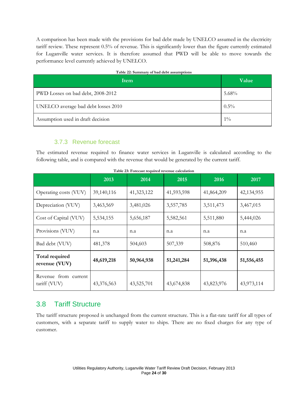A comparison has been made with the provisions for bad debt made by UNELCO assumed in the electricity tariff review. These represent 0.5% of revenue. This is significantly lower than the figure currently estimated for Luganville water services. It is therefore assumed that PWD will be able to move towards the performance level currently achieved by UNELCO.

| Item                                | Value   |
|-------------------------------------|---------|
| PWD Losses on bad debt, 2008-2012   | 5.68%   |
| UNELCO average bad debt losses 2010 | $0.5\%$ |
| Assumption used in draft decision   | $1\%$   |

#### **Table 22: Summary of bad debt assumptions**

### 3.7.3 Revenue forecast

The estimated revenue required to finance water services in Luganville is calculated according to the following table, and is compared with the revenue that would be generated by the current tariff.

|                                      | 2013       | 2014       | 2015       | 2016       | 2017       |
|--------------------------------------|------------|------------|------------|------------|------------|
| Operating costs (VUV)                | 39,140,116 | 41,323,122 | 41,593,598 | 41,864,209 | 42,134,955 |
| Depreciation (VUV)                   | 3,463,569  | 3,481,026  | 3,557,785  | 3,511,473  | 3,467,015  |
| Cost of Capital (VUV)                | 5,534,155  | 5,656,187  | 5,582,561  | 5,511,880  | 5,444,026  |
| Provisions (VUV)                     | n.a        | n.a        | n.a        | n.a        | n.a        |
| Bad debt (VUV)                       | 481,378    | 504,603    | 507,339    | 508,876    | 510,460    |
| Total required<br>revenue (VUV)      | 48,619,218 | 50,964,938 | 51,241,284 | 51,396,438 | 51,556,455 |
| Revenue from current<br>tariff (VUV) | 43,376,563 | 43,525,701 | 43,674,838 | 43,823,976 | 43,973,114 |

| Table 23: Forecast required revenue calculation |
|-------------------------------------------------|
|-------------------------------------------------|

## 3.8 Tariff Structure

The tariff structure proposed is unchanged from the current structure. This is a flat-rate tariff for all types of customers, with a separate tariff to supply water to ships. There are no fixed charges for any type of customer.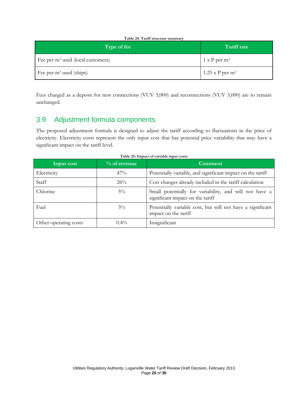| Type of fee                                   | Tariff rate              |
|-----------------------------------------------|--------------------------|
| Fee per m <sup>3</sup> used (local customers) | 1 x P per m <sup>3</sup> |
| Fee per $m^3$ used (ships)                    | 1.25 x P per $m3$        |

Fees charged as a deposit for new connections (VUV 5,000) and reconnections (VUV 3,000) are to remain unchanged.

## 3.9 Adjustment formula components

The proposed adjustment formula is designed to adjust the tariff according to fluctuations in the price of electricity. Electricity costs represent the only input cost that has potential price variability that may have a significant impact on the tariff level.

| Input cost            | $%$ of revenue | Comment                                                                                    |
|-----------------------|----------------|--------------------------------------------------------------------------------------------|
| Electricity           | 47%            | Potentially variable, and significant impact on the tariff                                 |
| Staff                 | 26%            | Cost changes already included in the tariff calculation                                    |
| Chlorine              | $5\%$          | Small potentially for variability, and will not have a<br>significant impact on the tariff |
| Fuel                  | $3\%$          | Potentially variable cost, but will not have a significant<br>impact on the tariff         |
| Other operating costs | $0.4\%$        | Insignificant                                                                              |

| Table 25: Impact of variable input costs |  |
|------------------------------------------|--|
|------------------------------------------|--|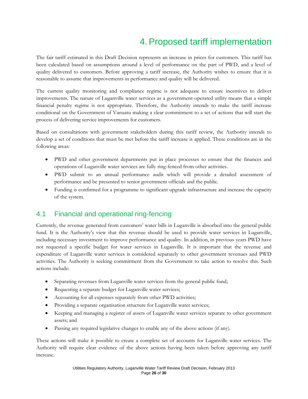# 4. Proposed tariff implementation

The fair tariff estimated in this Draft Decision represents an increase in prices for customers. This tariff has been calculated based on assumptions around a level of performance on the part of PWD, and a level of quality delivered to customers. Before approving a tariff increase, the Authority wishes to ensure that it is reasonable to assume that improvements in performance and quality will be delivered.

The current quality monitoring and compliance regime is not adequate to ensure incentives to deliver improvements. The nature of Luganville water services as a government-operated utility means that a simple financial penalty regime is not appropriate. Therefore, the Authority intends to make the tariff increase conditional on the Government of Vanuatu making a clear commitment to a set of actions that will start the process of delivering service improvements for customers.

Based on consultations with government stakeholders during this tariff review, the Authority intends to develop a set of conditions that must be met before the tariff increase is applied. These conditions are in the following areas:

- PWD and other government departments put in place processes to ensure that the finances and operations of Luganville water services are fully ring-fenced from other activities.
- PWD submit to an annual performance audit which will provide a detailed assessment of performance and be presented to senior government officials and the public.
- Funding is confirmed for a programme to significant upgrade infrastructure and increase the capacity of the system.

# 4.1 Financial and operational ring-fencing

Currently, the revenue generated from customers' water bills in Luganville is absorbed into the general public fund. It is the Authority's view that this revenue should be used to provide water services in Luganville, including necessary investment to improve performance and quality. In addition, in previous years PWD have not requested a specific budget for water services in Luganville. It is important that the revenue and expenditure of Luganville water services is considered separately to other government revenues and PWD activities. The Authority is seeking commitment from the Government to take action to resolve this. Such actions include:

- Separating revenues from Luganville water services from the general public fund;
- Requesting a separate budget for Luganville water services;
- Accounting for all expenses separately from other PWD activities;
- Providing a separate organisation structure for Luganville water services;
- Keeping and managing a register of assets of Luganville water services separate to other government assets; and
- Passing any required legislative changes to enable any of the above actions (if any).

These actions will make it possible to create a complete set of accounts for Luganville water services. The Authority will require clear evidence of the above actions having been taken before approving any tariff increase.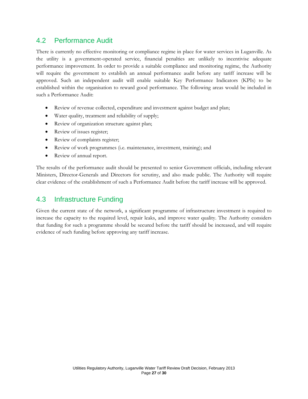## 4.2 Performance Audit

There is currently no effective monitoring or compliance regime in place for water services in Luganville. As the utility is a government-operated service, financial penalties are unlikely to incentivise adequate performance improvement. In order to provide a suitable compliance and monitoring regime, the Authority will require the government to establish an annual performance audit before any tariff increase will be approved. Such an independent audit will enable suitable Key Performance Indicators (KPIs) to be established within the organisation to reward good performance. The following areas would be included in such a Performance Audit:

- Review of revenue collected, expenditure and investment against budget and plan;
- Water quality, treatment and reliability of supply;
- Review of organization structure against plan;
- Review of issues register;
- Review of complaints register;
- Review of work programmes (i.e. maintenance, investment, training); and
- Review of annual report.

The results of the performance audit should be presented to senior Government officials, including relevant Ministers, Director-Generals and Directors for scrutiny, and also made public. The Authority will require clear evidence of the establishment of such a Performance Audit before the tariff increase will be approved.

## 4.3 Infrastructure Funding

Given the current state of the network, a significant programme of infrastructure investment is required to increase the capacity to the required level, repair leaks, and improve water quality. The Authority considers that funding for such a programme should be secured before the tariff should be increased, and will require evidence of such funding before approving any tariff increase.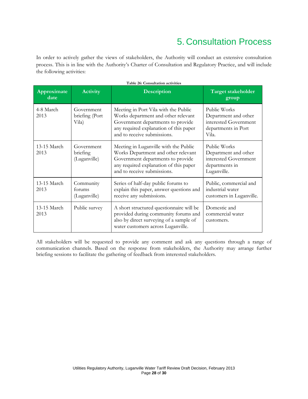# 5. Consultation Process

In order to actively gather the views of stakeholders, the Authority will conduct an extensive consultation process. This is in line with the Authority's Charter of Consultation and Regulatory Practice, and will include the following activities:

| Approximate<br>date | <b>Activity</b>                        | Description                                                                                                                                                                                | Target stakeholder<br>group                                                                    |
|---------------------|----------------------------------------|--------------------------------------------------------------------------------------------------------------------------------------------------------------------------------------------|------------------------------------------------------------------------------------------------|
| 4-8 March<br>2013   | Government<br>briefing (Port<br>Vila)  | Meeting in Port Vila with the Public<br>Works department and other relevant<br>Government departments to provide<br>any required explanation of this paper<br>and to receive submissions.  | Public Works<br>Department and other<br>interested Government<br>departments in Port<br>Vila.  |
| 13-15 March<br>2013 | Government<br>briefing<br>(Luganville) | Meeting in Luganville with the Public<br>Works Department and other relevant<br>Government departments to provide<br>any required explanation of this paper<br>and to receive submissions. | Public Works<br>Department and other<br>interested Government<br>departments in<br>Luganville. |
| 13-15 March<br>2013 | Community<br>forums<br>(Luganville)    | Series of half-day public forums to<br>explain this paper, answer questions and<br>receive any submissions.                                                                                | Public, commercial and<br>industrial water<br>customers in Luganville.                         |
| 13-15 March<br>2013 | Public survey                          | A short structured questionnaire will be<br>provided during community forums and<br>also by direct surveying of a sample of<br>water customers across Luganville.                          | Domestic and<br>commercial water<br>customers.                                                 |

All stakeholders will be requested to provide any comment and ask any questions through a range of communication channels. Based on the response from stakeholders, the Authority may arrange further briefing sessions to facilitate the gathering of feedback from interested stakeholders.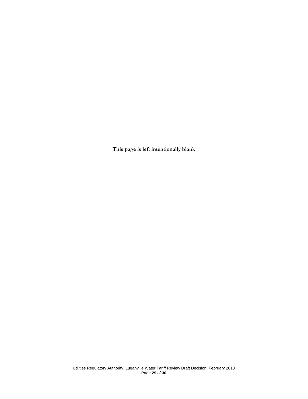**This page is left intentionally blank**